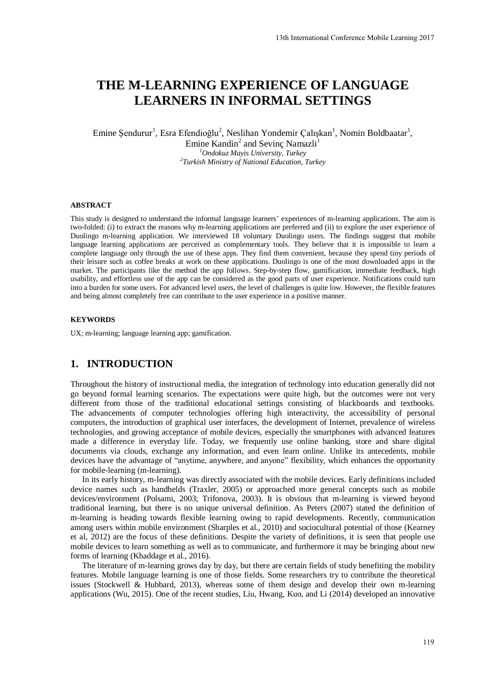# **THE M-LEARNING EXPERIENCE OF LANGUAGE LEARNERS IN INFORMAL SETTINGS**

Emine Şendurur<sup>1</sup>, Esra Efendioğlu<sup>2</sup>, Neslihan Yondemir Çalışkan<sup>1</sup>, Nomin Boldbaatar<sup>1</sup>,

Emine Kandin<sup>2</sup> and Sevinç Namazli<sup>1</sup> *<sup>1</sup>Ondokuz Mayis University, Turkey 2 Turkish Ministry of National Education, Turkey* 

#### **ABSTRACT**

This study is designed to understand the informal language learners' experiences of m-learning applications. The aim is two-folded: (i) to extract the reasons why m-learning applications are preferred and (ii) to explore the user experience of Duolingo m-learning application. We interviewed 18 voluntary Duolingo users. The findings suggest that mobile language learning applications are perceived as complementary tools. They believe that it is impossible to learn a complete language only through the use of these apps. They find them convenient, because they spend tiny periods of their leisure such as coffee breaks at work on these applications. Duolingo is one of the most downloaded apps in the market. The participants like the method the app follows. Step-by-step flow, gamification, immediate feedback, high usability, and effortless use of the app can be considered as the good parts of user experience. Notifications could turn into a burden for some users. For advanced level users, the level of challenges is quite low. However, the flexible features and being almost completely free can contribute to the user experience in a positive manner.

#### **KEYWORDS**

UX; m-learning; language learning app; gamification.

# **1. INTRODUCTION**

Throughout the history of instructional media, the integration of technology into education generally did not go beyond formal learning scenarios. The expectations were quite high, but the outcomes were not very different from those of the traditional educational settings consisting of blackboards and textbooks. The advancements of computer technologies offering high interactivity, the accessibility of personal computers, the introduction of graphical user interfaces, the development of Internet, prevalence of wireless technologies, and growing acceptance of mobile devices, especially the smartphones with advanced features made a difference in everyday life. Today, we frequently use online banking, store and share digital documents via clouds, exchange any information, and even learn online. Unlike its antecedents, mobile devices have the advantage of "anytime, anywhere, and anyone" flexibility, which enhances the opportunity for mobile-learning (m-learning).

In its early history, m-learning was directly associated with the mobile devices. Early definitions included device names such as handhelds (Traxler, 2005) or approached more general concepts such as mobile devices/environment (Polsami, 2003; Trifonova, 2003). It is obvious that m-learning is viewed beyond traditional learning, but there is no unique universal definition. As Peters (2007) stated the definition of m-learning is heading towards flexible learning owing to rapid developments. Recently, communication among users within mobile environment (Sharples et al., 2010) and sociocultural potential of those (Kearney et al, 2012) are the focus of these definitions. Despite the variety of definitions, it is seen that people use mobile devices to learn something as well as to communicate, and furthermore it may be bringing about new forms of learning (Khaddage et al., 2016).

The literature of m-learning grows day by day, but there are certain fields of study benefiting the mobility features. Mobile language learning is one of those fields. Some researchers try to contribute the theoretical issues (Stockwell & Hubbard, 2013), whereas some of them design and develop their own m-learning applications (Wu, 2015). One of the recent studies, Liu, Hwang, Kuo, and Li (2014) developed an innovative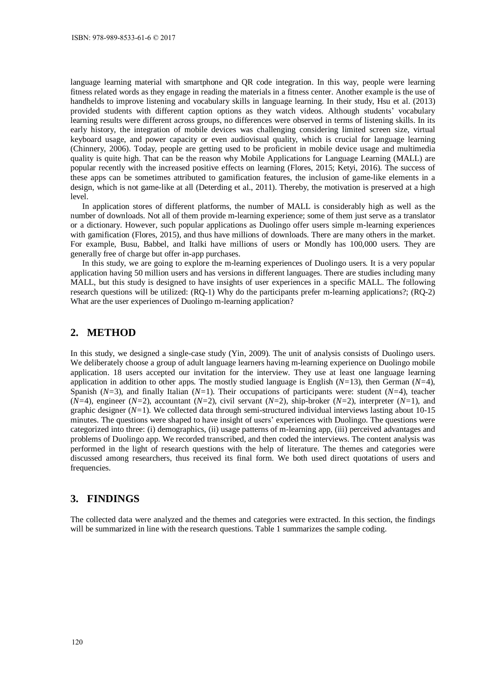language learning material with smartphone and QR code integration. In this way, people were learning fitness related words as they engage in reading the materials in a fitness center. Another example is the use of handhelds to improve listening and vocabulary skills in language learning. In their study, Hsu et al. (2013) provided students with different caption options as they watch videos. Although students' vocabulary learning results were different across groups, no differences were observed in terms of listening skills. In its early history, the integration of mobile devices was challenging considering limited screen size, virtual keyboard usage, and power capacity or even audiovisual quality, which is crucial for language learning (Chinnery, 2006). Today, people are getting used to be proficient in mobile device usage and multimedia quality is quite high. That can be the reason why Mobile Applications for Language Learning (MALL) are popular recently with the increased positive effects on learning (Flores, 2015; Ketyi, 2016). The success of these apps can be sometimes attributed to gamification features, the inclusion of game-like elements in a design, which is not game-like at all (Deterding et al., 2011). Thereby, the motivation is preserved at a high level.

In application stores of different platforms, the number of MALL is considerably high as well as the number of downloads. Not all of them provide m-learning experience; some of them just serve as a translator or a dictionary. However, such popular applications as Duolingo offer users simple m-learning experiences with gamification (Flores, 2015), and thus have millions of downloads. There are many others in the market. For example, Busu, Babbel, and Italki have millions of users or Mondly has 100,000 users. They are generally free of charge but offer in-app purchases.

In this study, we are going to explore the m-learning experiences of Duolingo users. It is a very popular application having 50 million users and has versions in different languages. There are studies including many MALL, but this study is designed to have insights of user experiences in a specific MALL. The following research questions will be utilized: (RQ-1) Why do the participants prefer m-learning applications?; (RQ-2) What are the user experiences of Duolingo m-learning application?

#### **2. METHOD**

In this study, we designed a single-case study (Yin, 2009). The unit of analysis consists of Duolingo users. We deliberately choose a group of adult language learners having m-learning experience on Duolingo mobile application. 18 users accepted our invitation for the interview. They use at least one language learning application in addition to other apps. The mostly studied language is English (*N=*13), then German (*N=*4), Spanish (*N=*3), and finally Italian (*N=*1). Their occupations of participants were: student (*N=*4), teacher (*N=*4), engineer (*N=*2), accountant (*N=*2), civil servant (*N=*2), ship-broker (*N=*2), interpreter (*N=*1), and graphic designer (*N=*1). We collected data through semi-structured individual interviews lasting about 10-15 minutes. The questions were shaped to have insight of users' experiences with Duolingo. The questions were categorized into three: (i) demographics, (ii) usage patterns of m-learning app, (iii) perceived advantages and problems of Duolingo app. We recorded transcribed, and then coded the interviews. The content analysis was performed in the light of research questions with the help of literature. The themes and categories were discussed among researchers, thus received its final form. We both used direct quotations of users and frequencies.

### **3. FINDINGS**

The collected data were analyzed and the themes and categories were extracted. In this section, the findings will be summarized in line with the research questions. Table 1 summarizes the sample coding.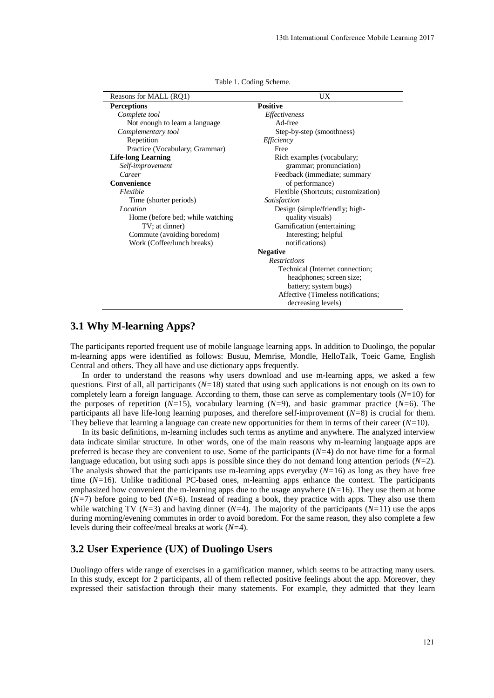| Reasons for MALL (RQ1)           | UX                                  |
|----------------------------------|-------------------------------------|
| <b>Perceptions</b>               | <b>Positive</b>                     |
| Complete tool                    | <i>Effectiveness</i>                |
| Not enough to learn a language.  | Ad-free                             |
| Complementary tool               | Step-by-step (smoothness)           |
| Repetition                       | Efficiency                          |
| Practice (Vocabulary; Grammar)   | Free                                |
| <b>Life-long Learning</b>        | Rich examples (vocabulary;          |
| Self-improvement                 | grammar; pronunciation)             |
| Career                           | Feedback (immediate; summary        |
| Convenience                      | of performance)                     |
| Flexible                         | Flexible (Shortcuts; customization) |
| Time (shorter periods)           | <i>Satisfaction</i>                 |
| Location                         | Design (simple/friendly; high-      |
| Home (before bed; while watching | quality visuals)                    |
| TV; at dinner)                   | Gamification (entertaining;         |
| Commute (avoiding boredom)       | Interesting; helpful                |
| Work (Coffee/lunch breaks)       | notifications)                      |
|                                  | <b>Negative</b>                     |
|                                  | <b>Restrictions</b>                 |
|                                  | Technical (Internet connection;     |
|                                  | headphones; screen size;            |
|                                  | battery; system bugs)               |
|                                  | Affective (Timeless notifications;  |
|                                  | decreasing levels)                  |

Table 1. Coding Scheme.

# **3.1 Why M-learning Apps?**

The participants reported frequent use of mobile language learning apps. In addition to Duolingo, the popular m-learning apps were identified as follows: Busuu, Memrise, Mondle, HelloTalk, Toeic Game, English Central and others. They all have and use dictionary apps frequently.

In order to understand the reasons why users download and use m-learning apps, we asked a few questions. First of all, all participants (*N=*18) stated that using such applications is not enough on its own to completely learn a foreign language. According to them, those can serve as complementary tools (*N=*10) for the purposes of repetition (*N=*15), vocabulary learning (*N=*9), and basic grammar practice (*N=*6). The participants all have life-long learning purposes, and therefore self-improvement (*N=*8) is crucial for them. They believe that learning a language can create new opportunities for them in terms of their career  $(N=10)$ .

In its basic definitions, m-learning includes such terms as anytime and anywhere. The analyzed interview data indicate similar structure. In other words, one of the main reasons why m-learning language apps are preferred is becase they are convenient to use. Some of the participants  $(N=4)$  do not have time for a formal language education, but using such apps is possible since they do not demand long attention periods (*N=*2). The analysis showed that the participants use m-learning apps everyday (*N=*16) as long as they have free time ( $N=16$ ). Unlike traditional PC-based ones, m-learning apps enhance the context. The participants emphasized how convenient the m-learning apps due to the usage anywhere (*N=*16). They use them at home (*N=*7) before going to bed (*N=*6). Instead of reading a book, they practice with apps. They also use them while watching TV (*N=*3) and having dinner (*N=*4). The majority of the participants (*N=*11) use the apps during morning/evening commutes in order to avoid boredom. For the same reason, they also complete a few levels during their coffee/meal breaks at work (*N=*4).

# **3.2 User Experience (UX) of Duolingo Users**

Duolingo offers wide range of exercises in a gamification manner, which seems to be attracting many users. In this study, except for 2 participants, all of them reflected positive feelings about the app. Moreover, they expressed their satisfaction through their many statements. For example, they admitted that they learn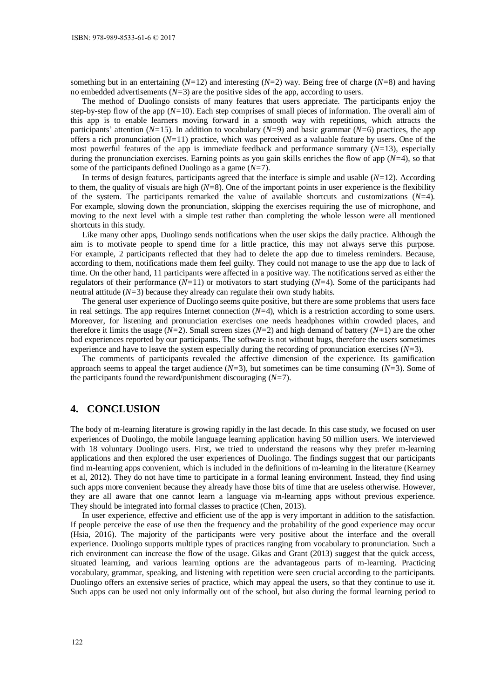something but in an entertaining (*N=*12) and interesting (*N=*2) way. Being free of charge (*N=*8) and having no embedded advertisements (*N=*3) are the positive sides of the app, according to users.

The method of Duolingo consists of many features that users appreciate. The participants enjoy the step-by-step flow of the app (*N=*10). Each step comprises of small pieces of information. The overall aim of this app is to enable learners moving forward in a smooth way with repetitions, which attracts the participants' attention (*N=*15). In addition to vocabulary (*N=*9) and basic grammar (*N=*6) practices, the app offers a rich pronunciation (*N=*11) practice, which was perceived as a valuable feature by users. One of the most powerful features of the app is immediate feedback and performance summary (*N=*13), especially during the pronunciation exercises. Earning points as you gain skills enriches the flow of app (*N=*4), so that some of the participants defined Duolingo as a game (*N=*7).

In terms of design features, participants agreed that the interface is simple and usable (*N=*12). According to them, the quality of visuals are high (*N=*8). One of the important points in user experience is the flexibility of the system. The participants remarked the value of available shortcuts and customizations (*N=*4). For example, slowing down the pronunciation, skipping the exercises requiring the use of microphone, and moving to the next level with a simple test rather than completing the whole lesson were all mentioned shortcuts in this study.

Like many other apps, Duolingo sends notifications when the user skips the daily practice. Although the aim is to motivate people to spend time for a little practice, this may not always serve this purpose. For example, 2 participants reflected that they had to delete the app due to timeless reminders. Because, according to them, notifications made them feel guilty. They could not manage to use the app due to lack of time. On the other hand, 11 participants were affected in a positive way. The notifications served as either the regulators of their performance (*N=*11) or motivators to start studying (*N=*4). Some of the participants had neutral attitude (*N=*3) because they already can regulate their own study habits.

The general user experience of Duolingo seems quite positive, but there are some problems that users face in real settings. The app requires Internet connection  $(N=4)$ , which is a restriction according to some users. Moreover, for listening and pronunciation exercises one needs headphones within crowded places, and therefore it limits the usage (*N=*2). Small screen sizes (*N=*2) and high demand of battery (*N=*1) are the other bad experiences reported by our participants. The software is not without bugs, therefore the users sometimes experience and have to leave the system especially during the recording of pronunciation exercises (*N=*3).

The comments of participants revealed the affective dimension of the experience. Its gamification approach seems to appeal the target audience (*N=*3), but sometimes can be time consuming (*N=*3). Some of the participants found the reward/punishment discouraging (*N=*7).

#### **4. CONCLUSION**

The body of m-learning literature is growing rapidly in the last decade. In this case study, we focused on user experiences of Duolingo, the mobile language learning application having 50 million users. We interviewed with 18 voluntary Duolingo users. First, we tried to understand the reasons why they prefer m-learning applications and then explored the user experiences of Duolingo. The findings suggest that our participants find m-learning apps convenient, which is included in the definitions of m-learning in the literature (Kearney et al, 2012). They do not have time to participate in a formal leaning environment. Instead, they find using such apps more convenient because they already have those bits of time that are useless otherwise. However, they are all aware that one cannot learn a language via m-learning apps without previous experience. They should be integrated into formal classes to practice (Chen, 2013).

In user experience, effective and efficient use of the app is very important in addition to the satisfaction. If people perceive the ease of use then the frequency and the probability of the good experience may occur (Hsia, 2016). The majority of the participants were very positive about the interface and the overall experience. Duolingo supports multiple types of practices ranging from vocabulary to pronunciation. Such a rich environment can increase the flow of the usage. Gikas and Grant (2013) suggest that the quick access, situated learning, and various learning options are the advantageous parts of m-learning. Practicing vocabulary, grammar, speaking, and listening with repetition were seen crucial according to the participants. Duolingo offers an extensive series of practice, which may appeal the users, so that they continue to use it. Such apps can be used not only informally out of the school, but also during the formal learning period to